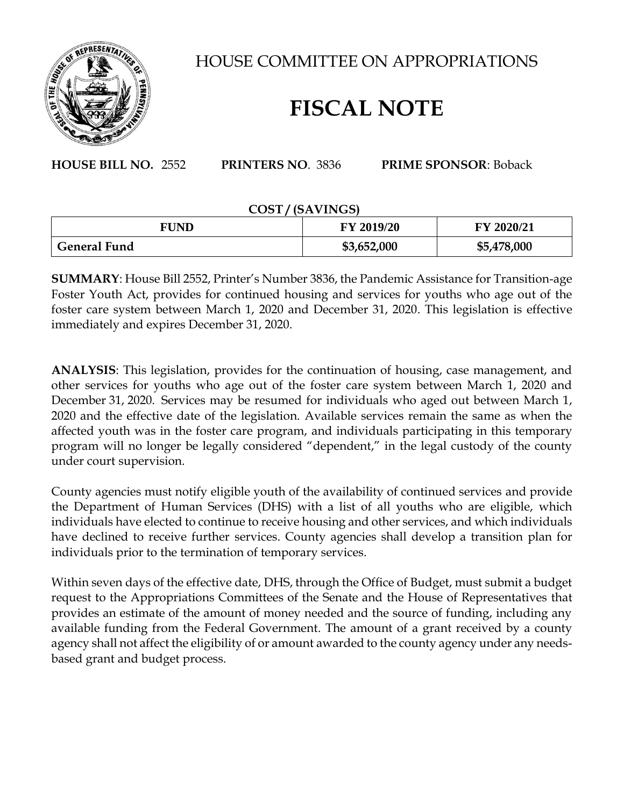

HOUSE COMMITTEE ON APPROPRIATIONS

## **FISCAL NOTE**

**HOUSE BILL NO.** 2552 **PRINTERS NO**. 3836 **PRIME SPONSOR**: Boback

## **COST / (SAVINGS)**

| FUND                | FY 2019/20  | FY 2020/21  |
|---------------------|-------------|-------------|
| <b>General Fund</b> | \$3,652,000 | \$5,478,000 |

**SUMMARY**: House Bill 2552, Printer's Number 3836, the Pandemic Assistance for Transition-age Foster Youth Act, provides for continued housing and services for youths who age out of the foster care system between March 1, 2020 and December 31, 2020. This legislation is effective immediately and expires December 31, 2020.

**ANALYSIS**: This legislation, provides for the continuation of housing, case management, and other services for youths who age out of the foster care system between March 1, 2020 and December 31, 2020. Services may be resumed for individuals who aged out between March 1, 2020 and the effective date of the legislation. Available services remain the same as when the affected youth was in the foster care program, and individuals participating in this temporary program will no longer be legally considered "dependent," in the legal custody of the county under court supervision.

County agencies must notify eligible youth of the availability of continued services and provide the Department of Human Services (DHS) with a list of all youths who are eligible, which individuals have elected to continue to receive housing and other services, and which individuals have declined to receive further services. County agencies shall develop a transition plan for individuals prior to the termination of temporary services.

Within seven days of the effective date, DHS, through the Office of Budget, must submit a budget request to the Appropriations Committees of the Senate and the House of Representatives that provides an estimate of the amount of money needed and the source of funding, including any available funding from the Federal Government. The amount of a grant received by a county agency shall not affect the eligibility of or amount awarded to the county agency under any needsbased grant and budget process.